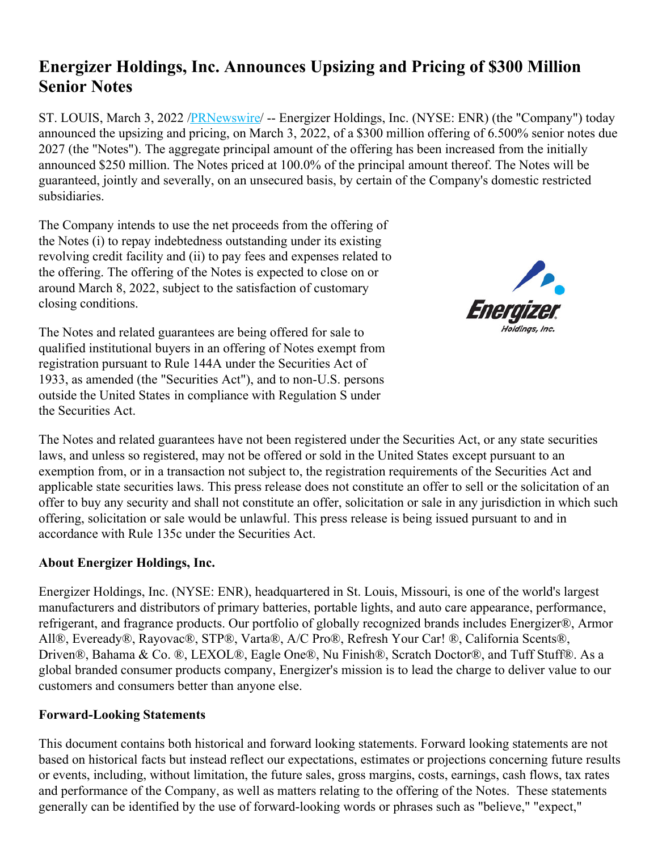## **Energizer Holdings, Inc. Announces Upsizing and Pricing of \$300 Million Senior Notes**

ST. LOUIS, March 3, 2022 /*PRNewswire*/ -- Energizer Holdings, Inc. (NYSE: ENR) (the "Company") today announced the upsizing and pricing, on March 3, 2022, of a \$300 million offering of 6.500% senior notes due 2027 (the "Notes"). The aggregate principal amount of the offering has been increased from the initially announced \$250 million. The Notes priced at 100.0% of the principal amount thereof. The Notes will be guaranteed, jointly and severally, on an unsecured basis, by certain of the Company's domestic restricted subsidiaries.

The Company intends to use the net proceeds from the offering of the Notes (i) to repay indebtedness outstanding under its existing revolving credit facility and (ii) to pay fees and expenses related to the offering. The offering of the Notes is expected to close on or around March 8, 2022, subject to the satisfaction of customary closing conditions.

The Notes and related guarantees are being offered for sale to qualified institutional buyers in an offering of Notes exempt from registration pursuant to Rule 144A under the Securities Act of 1933, as amended (the "Securities Act"), and to non-U.S. persons outside the United States in compliance with Regulation S under the Securities Act.



The Notes and related guarantees have not been registered under the Securities Act, or any state securities laws, and unless so registered, may not be offered or sold in the United States except pursuant to an exemption from, or in a transaction not subject to, the registration requirements of the Securities Act and applicable state securities laws. This press release does not constitute an offer to sell or the solicitation of an offer to buy any security and shall not constitute an offer, solicitation or sale in any jurisdiction in which such offering, solicitation or sale would be unlawful. This press release is being issued pursuant to and in accordance with Rule 135c under the Securities Act.

## **About Energizer Holdings, Inc.**

Energizer Holdings, Inc. (NYSE: ENR), headquartered in St. Louis, Missouri, is one of the world's largest manufacturers and distributors of primary batteries, portable lights, and auto care appearance, performance, refrigerant, and fragrance products. Our portfolio of globally recognized brands includes Energizer®, Armor All®, Eveready®, Rayovac®, STP®, Varta®, A/C Pro®, Refresh Your Car! ®, California Scents®, Driven®, Bahama & Co. ®, LEXOL®, Eagle One®, Nu Finish®, Scratch Doctor®, and Tuff Stuff®. As a global branded consumer products company, Energizer's mission is to lead the charge to deliver value to our customers and consumers better than anyone else.

## **Forward-Looking Statements**

This document contains both historical and forward looking statements. Forward looking statements are not based on historical facts but instead reflect our expectations, estimates or projections concerning future results or events, including, without limitation, the future sales, gross margins, costs, earnings, cash flows, tax rates and performance of the Company, as well as matters relating to the offering of the Notes. These statements generally can be identified by the use of forward-looking words or phrases such as "believe," "expect,"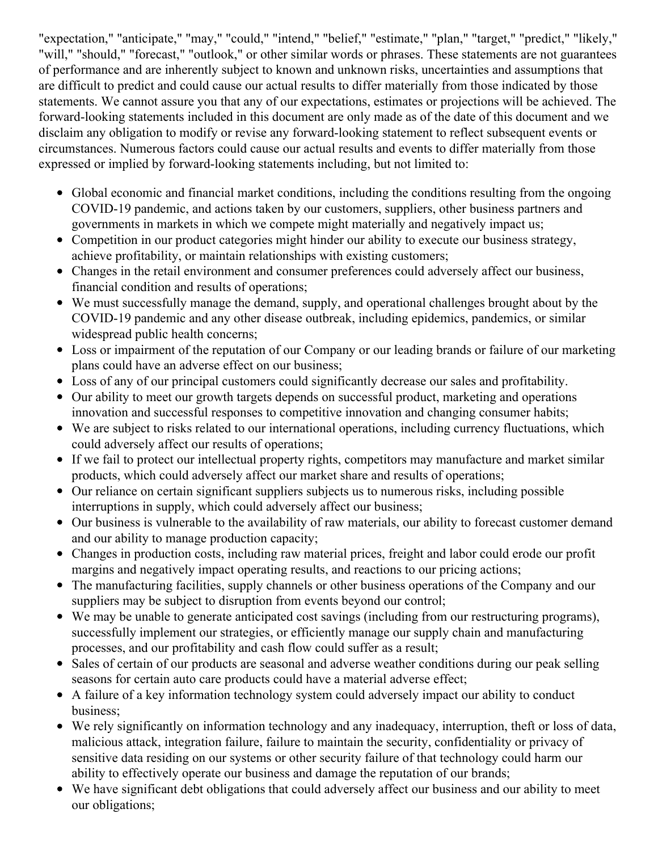"expectation," "anticipate," "may," "could," "intend," "belief," "estimate," "plan," "target," "predict," "likely," "will," "should," "forecast," "outlook," or other similar words or phrases. These statements are not guarantees of performance and are inherently subject to known and unknown risks, uncertainties and assumptions that are difficult to predict and could cause our actual results to differ materially from those indicated by those statements. We cannot assure you that any of our expectations, estimates or projections will be achieved. The forward-looking statements included in this document are only made as of the date of this document and we disclaim any obligation to modify or revise any forward-looking statement to reflect subsequent events or circumstances. Numerous factors could cause our actual results and events to differ materially from those expressed or implied by forward-looking statements including, but not limited to:

- Global economic and financial market conditions, including the conditions resulting from the ongoing COVID-19 pandemic, and actions taken by our customers, suppliers, other business partners and governments in markets in which we compete might materially and negatively impact us;
- Competition in our product categories might hinder our ability to execute our business strategy, achieve profitability, or maintain relationships with existing customers;
- Changes in the retail environment and consumer preferences could adversely affect our business, financial condition and results of operations;
- We must successfully manage the demand, supply, and operational challenges brought about by the COVID-19 pandemic and any other disease outbreak, including epidemics, pandemics, or similar widespread public health concerns;
- Loss or impairment of the reputation of our Company or our leading brands or failure of our marketing plans could have an adverse effect on our business;
- Loss of any of our principal customers could significantly decrease our sales and profitability.
- Our ability to meet our growth targets depends on successful product, marketing and operations innovation and successful responses to competitive innovation and changing consumer habits;
- We are subject to risks related to our international operations, including currency fluctuations, which could adversely affect our results of operations;
- If we fail to protect our intellectual property rights, competitors may manufacture and market similar products, which could adversely affect our market share and results of operations;
- Our reliance on certain significant suppliers subjects us to numerous risks, including possible interruptions in supply, which could adversely affect our business;
- Our business is vulnerable to the availability of raw materials, our ability to forecast customer demand and our ability to manage production capacity;
- Changes in production costs, including raw material prices, freight and labor could erode our profit margins and negatively impact operating results, and reactions to our pricing actions;
- The manufacturing facilities, supply channels or other business operations of the Company and our suppliers may be subject to disruption from events beyond our control;
- We may be unable to generate anticipated cost savings (including from our restructuring programs), successfully implement our strategies, or efficiently manage our supply chain and manufacturing processes, and our profitability and cash flow could suffer as a result;
- Sales of certain of our products are seasonal and adverse weather conditions during our peak selling seasons for certain auto care products could have a material adverse effect;
- A failure of a key information technology system could adversely impact our ability to conduct business;
- We rely significantly on information technology and any inadequacy, interruption, theft or loss of data, malicious attack, integration failure, failure to maintain the security, confidentiality or privacy of sensitive data residing on our systems or other security failure of that technology could harm our ability to effectively operate our business and damage the reputation of our brands;
- We have significant debt obligations that could adversely affect our business and our ability to meet our obligations;